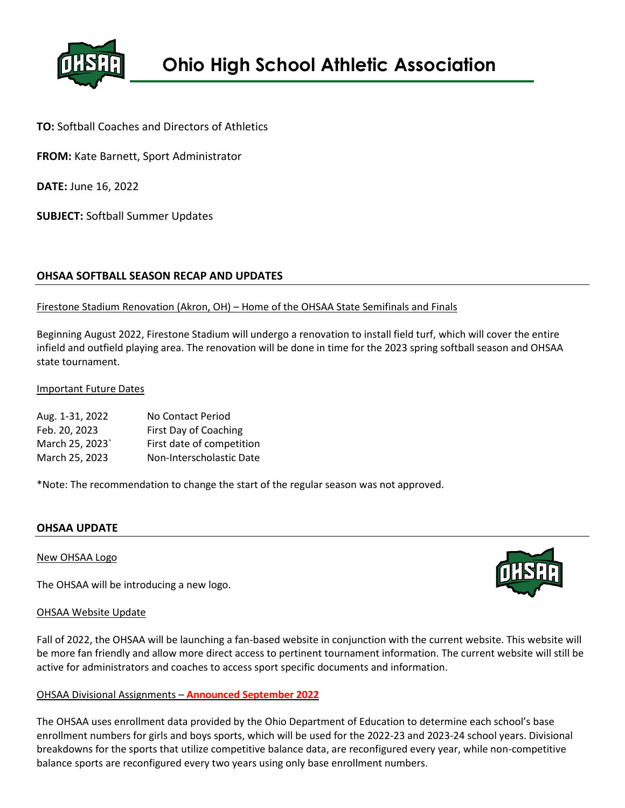

**TO:** Softball Coaches and Directors of Athletics

**FROM:** Kate Barnett, Sport Administrator

**DATE:** June 16, 2022

**SUBJECT:** Softball Summer Updates

## **OHSAA SOFTBALL SEASON RECAP AND UPDATES**

## Firestone Stadium Renovation (Akron, OH) – Home of the OHSAA State Semifinals and Finals

Beginning August 2022, Firestone Stadium will undergo a renovation to install field turf, which will cover the entire infield and outfield playing area. The renovation will be done in time for the 2023 spring softball season and OHSAA state tournament.

### Important Future Dates

| Aug. 1-31, 2022 | No Contact Period         |
|-----------------|---------------------------|
| Feb. 20, 2023   | First Day of Coaching     |
| March 25, 2023` | First date of competition |
| March 25, 2023  | Non-Interscholastic Date  |

\*Note: The recommendation to change the start of the regular season was not approved.

## **OHSAA UPDATE**

#### New OHSAA Logo

The OHSAA will be introducing a new logo.

#### OHSAA Website Update

Fall of 2022, the OHSAA will be launching a fan-based website in conjunction with the current website. This website will be more fan friendly and allow more direct access to pertinent tournament information. The current website will still be active for administrators and coaches to access sport specific documents and information.

## OHSAA Divisional Assignments – **Announced September 2022**

The OHSAA uses enrollment data provided by the Ohio Department of Education to determine each school's base enrollment numbers for girls and boys sports, which will be used for the 2022-23 and 2023-24 school years. Divisional breakdowns for the sports that utilize competitive balance data, are reconfigured every year, while non-competitive balance sports are reconfigured every two years using only base enrollment numbers.